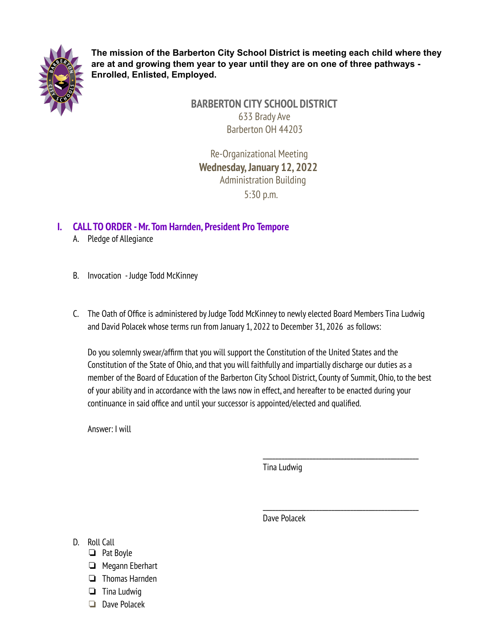

**The mission of the Barberton City School District is meeting each child where they are at and growing them year to year until they are on one of three pathways - Enrolled, Enlisted, Employed.**

> **BARBERTON CITY SCHOOL DISTRICT** 633 Brady Ave Barberton OH 44203

Re-Organizational Meeting **Wednesday,January 12, 2022** Administration Building 5:30 p.m.

## **I. CALL TO ORDER -Mr.Tom Harnden, President Pro Tempore**

- A. Pledge of Allegiance
- B. Invocation Judge Todd McKinney
- C. The Oath of Office is administered byJudge Todd McKinneyto newly elected Board Members Tina Ludwig and David Polacek whose terms run from January 1, 2022 to December 31, 2026 as follows:

Do you solemnly swear/affirm that you will support the Constitution of the United States and the Constitution of the State of Ohio, and that you will faithfully and impartially discharge our duties as a member of the Board of Education of the Barberton City School District, County of Summit, Ohio, to the best of your ability and in accordance with the laws now in effect, and hereafter to be enacted during your continuance in said office and until your successor is appointed/elected and qualified.

Answer: I will

Tina Ludwig

\_\_\_\_\_\_\_\_\_\_\_\_\_\_\_\_\_\_\_\_\_\_\_\_\_\_\_\_\_\_\_\_\_\_\_\_\_\_\_\_\_\_\_\_\_\_\_\_\_\_

\_\_\_\_\_\_\_\_\_\_\_\_\_\_\_\_\_\_\_\_\_\_\_\_\_\_\_\_\_\_\_\_\_\_\_\_\_\_\_\_\_\_\_\_\_\_\_\_\_\_

Dave Polacek

- D. Roll Call
	- ❏ Pat Boyle
	- ❏ Megann Eberhart
	- ❏ Thomas Harnden
	- ❏ Tina Ludwig
	- ❏ Dave Polacek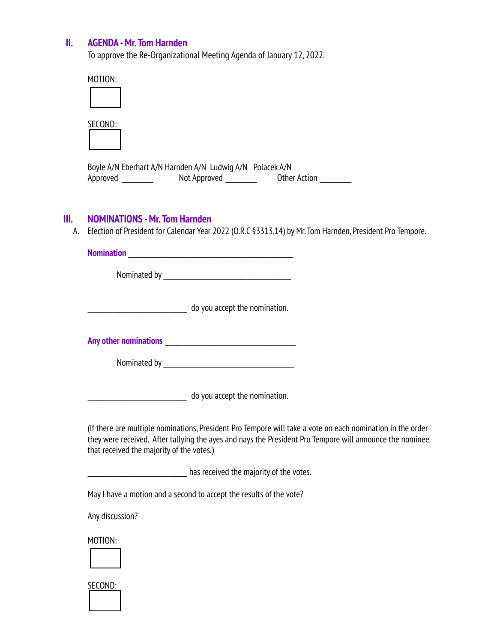## **II. AGENDA -Mr.Tom Harnden**

To approve the Re-Organizational Meeting Agenda of January 12, 2022.

| MOTION:                                                                                                      |
|--------------------------------------------------------------------------------------------------------------|
|                                                                                                              |
| SECOND:                                                                                                      |
| Boyle A/N Eberhart A/N Harnden A/N Ludwig A/N Polacek A/N<br>Not Approved<br><b>Other Action</b><br>Approved |

## **III. NOMINATIONS -Mr.Tom Harnden**

A. Election of President for Calendar Year 2022 (O.R.C §3313.14) by Mr. Tom Harnden, President Pro Tempore.

**Nomination** \_\_\_\_\_\_\_\_\_\_\_\_\_\_\_\_\_\_\_\_\_\_\_\_\_\_\_\_\_\_\_\_\_\_\_\_\_\_\_\_\_\_\_\_\_\_\_\_\_\_\_\_\_

Nominated by\_\_\_\_\_\_\_\_\_\_\_\_\_\_\_\_\_\_\_\_\_\_\_\_\_\_\_\_\_\_\_\_\_\_\_\_\_\_\_\_\_

\_\_\_\_\_\_\_\_\_\_\_\_\_\_\_\_\_\_\_\_\_\_\_\_\_\_\_\_\_\_\_\_ do you accept the nomination.

**Any other nominations** \_\_\_\_\_\_\_\_\_\_\_\_\_\_\_\_\_\_\_\_\_\_\_\_\_\_\_\_\_\_\_\_\_\_\_\_\_\_\_\_\_\_

Nominated by\_\_\_\_\_\_\_\_\_\_\_\_\_\_\_\_\_\_\_\_\_\_\_\_\_\_\_\_\_\_\_\_\_\_\_\_\_\_\_\_\_\_

**with the local contract of the nomination.** 

(If there are multiple nominations, President Pro Tempore will take a vote on each nomination in the order they were received. After tallying the ayes and nays the President Pro Tempore will announce the nominee that received the majority of the votes.)

\_\_\_\_\_\_\_\_\_\_\_\_\_\_\_\_\_\_\_\_\_\_\_\_\_\_\_\_\_\_\_\_ has received the majority of the votes.

MayI have a motion and a second to accept the results of the vote?

Any discussion?

MOTION:



SECOND: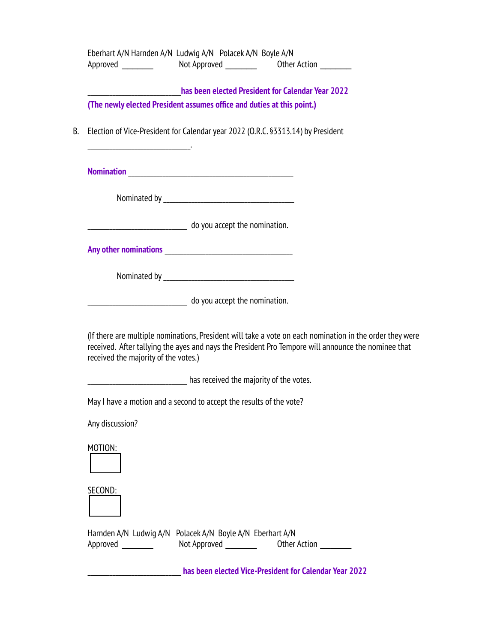|  | Eberhart A/N Harnden A/N Ludwig A/N Polacek A/N Boyle A/N                                                                                                                                                                                               |  |  |  |
|--|---------------------------------------------------------------------------------------------------------------------------------------------------------------------------------------------------------------------------------------------------------|--|--|--|
|  | has been elected President for Calendar Year 2022                                                                                                                                                                                                       |  |  |  |
|  | (The newly elected President assumes office and duties at this point.)                                                                                                                                                                                  |  |  |  |
|  | Election of Vice-President for Calendar year 2022 (O.R.C. §3313.14) by President                                                                                                                                                                        |  |  |  |
|  |                                                                                                                                                                                                                                                         |  |  |  |
|  |                                                                                                                                                                                                                                                         |  |  |  |
|  | ________________________ do you accept the nomination.                                                                                                                                                                                                  |  |  |  |
|  |                                                                                                                                                                                                                                                         |  |  |  |
|  |                                                                                                                                                                                                                                                         |  |  |  |
|  | do you accept the nomination.                                                                                                                                                                                                                           |  |  |  |
|  | (If there are multiple nominations, President will take a vote on each nomination in the order they were<br>received. After tallying the ayes and nays the President Pro Tempore will announce the nominee that<br>received the majority of the votes.) |  |  |  |
|  | has received the majority of the votes.                                                                                                                                                                                                                 |  |  |  |
|  | May I have a motion and a second to accept the results of the vote?                                                                                                                                                                                     |  |  |  |
|  | Any discussion?                                                                                                                                                                                                                                         |  |  |  |
|  | MOTION:                                                                                                                                                                                                                                                 |  |  |  |
|  | SECOND:                                                                                                                                                                                                                                                 |  |  |  |
|  | Harnden A/N Ludwig A/N Polacek A/N Boyle A/N Eberhart A/N<br>Not Approved _________<br>Approved<br>Other Action                                                                                                                                         |  |  |  |
|  | has been elected Vice-President for Calendar Year 2022                                                                                                                                                                                                  |  |  |  |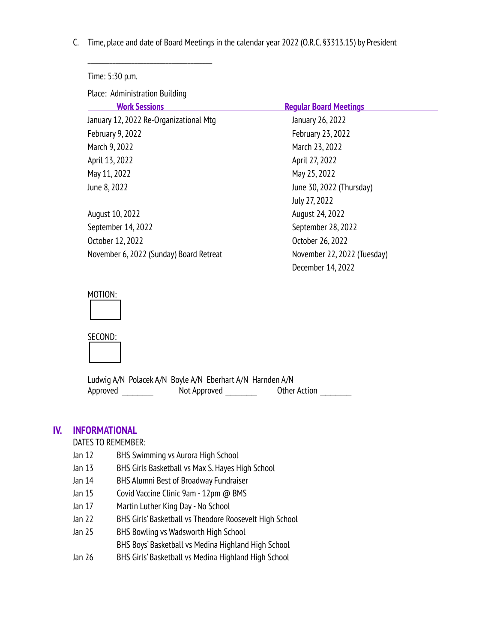C. Time, place and date of Board Meetings in the calendar year 2022 (O.R.C. §3313.15) by President

Time: 5:30 p.m. Place: Administration Building **Regular Board Meetings** January 12, 2022 Re-Organizational Mtg January 26, 2022 February 9, 2022 February 23, 2022 March 9, 2022 **March 23, 2022** April 13, 2022 April 27, 2022 May 11, 2022 May 25, 2022 June 8, 2022 (Thursday) July 27, 2022 August 10, 2022 August 24, 2022 September 14, 2022 September 28, 2022 October 12, 2022 October 26, 2022 November 6, 2022 (Sunday) Board Retreat November 22, 2022 (Tuesday) December 14, 2022

#### MOTION:





Ludwig A/N Polacek A/N Boyle A/N Eberhart A/N Harnden A/N Approved \_\_\_\_\_\_ Not Approved \_\_\_\_\_\_ Other Action \_\_\_\_\_\_

#### **IV. INFORMATIONAL**

DATES TO REMEMBER:

Jan 12 BHS Swimming vs Aurora High School

\_\_\_\_\_\_\_\_\_\_\_\_\_\_\_\_\_\_\_\_\_\_\_\_\_\_\_\_\_\_\_\_\_\_\_\_\_\_\_\_

- Jan 13 BHS Girls Basketball vs Max S. Hayes High School
- Jan 14 BHS Alumni Best of Broadway Fundraiser
- Jan 15 Covid Vaccine Clinic 9am 12pm @ BMS
- Jan 17 Martin Luther King Day- No School
- Jan 22 BHS Girls' Basketball vs Theodore Roosevelt High School
- Jan 25 BHS Bowling vs Wadsworth High School

BHS Boys' Basketball vs Medina Highland High School

Jan 26 BHS Girls' Basketball vs Medina Highland High School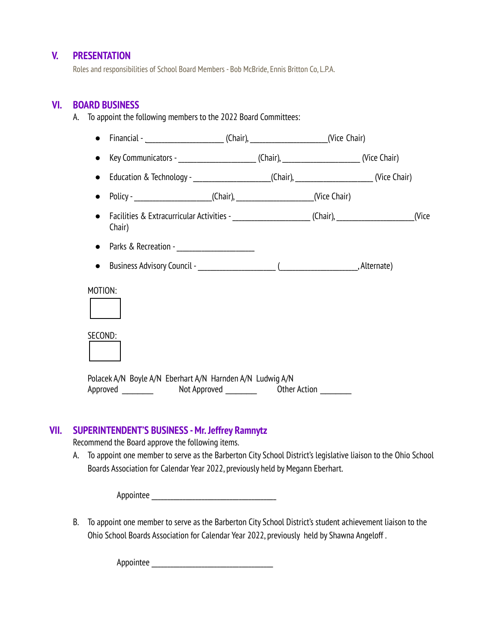#### **V. PRESENTATION**

Roles and responsibilities of School Board Members - Bob McBride, Ennis Britton Co, L.P.A.

A. To appoint the following members to the 2022 Board Committees:

#### **VI. BOARD BUSINESS**

● Financial - \_\_\_\_\_\_\_\_\_\_\_\_\_\_\_\_\_\_\_\_\_\_\_\_\_\_\_(Chair), \_\_\_\_\_\_\_\_\_\_\_\_\_\_\_\_\_\_\_\_\_\_\_\_\_\_\_\_\_(Vice Chair) ● Key Communicators - \_\_\_\_\_\_\_\_\_\_\_\_\_\_\_\_\_\_\_\_\_\_\_\_\_(Chair), \_\_\_\_\_\_\_\_\_\_\_\_\_\_\_\_\_\_\_\_\_\_\_\_ (Vice Chair) ● Education & Technology-\_\_\_\_\_\_\_\_\_\_\_\_\_\_\_\_\_\_\_\_\_\_\_\_\_(Chair),\_\_\_\_\_\_\_\_\_\_\_\_\_\_\_\_\_\_\_\_\_\_\_\_\_ (Vice Chair) ● Policy-\_\_\_\_\_\_\_\_\_\_\_\_\_\_\_\_\_\_\_\_\_\_\_\_\_(Chair),\_\_\_\_\_\_\_\_\_\_\_\_\_\_\_\_\_\_\_\_\_\_\_\_\_(Vice Chair) ● Facilities & Extracurricular Activities -\_\_\_\_\_\_\_\_\_\_\_\_\_\_\_\_\_\_\_\_\_\_\_\_\_ (Chair),\_\_\_\_\_\_\_\_\_\_\_\_\_\_\_\_\_\_\_\_\_\_\_\_\_(Vice Chair) ● Parks & Recreation -● Business Advisory Council -\_\_\_\_\_\_\_\_\_\_\_\_\_\_\_\_\_\_\_\_\_\_\_\_\_ (\_\_\_\_\_\_\_\_\_\_\_\_\_\_\_\_\_\_\_\_\_\_\_\_\_, Alternate) MOTION: SECOND: Polacek A/N Boyle A/N Eberhart A/N Harnden A/N Ludwig A/N Approved \_\_\_\_\_\_ Not Approved \_\_\_\_\_\_ Other Action \_\_\_\_\_\_

#### **VII. SUPERINTENDENT'S BUSINESS -Mr.Jeffrey Ramnytz**

Recommend the Board approve the following items.

A. To appoint one member to serve as the Barberton City School District's legislative liaison to the Ohio School Boards Association for Calendar Year 2022, previously held by Megann Eberhart.

Appointee \_\_\_\_\_\_\_\_\_\_\_\_\_\_\_\_\_\_\_\_\_\_\_\_\_\_\_\_\_\_\_\_\_\_\_\_\_\_\_\_

B. To appoint one member to serve as the Barberton City School District's student achievement liaison to the Ohio School Boards Association for Calendar Year 2022, previously held by Shawna Angeloff .

Appointee \_\_\_\_\_\_\_\_\_\_\_\_\_\_\_\_\_\_\_\_\_\_\_\_\_\_\_\_\_\_\_\_\_\_\_\_\_\_\_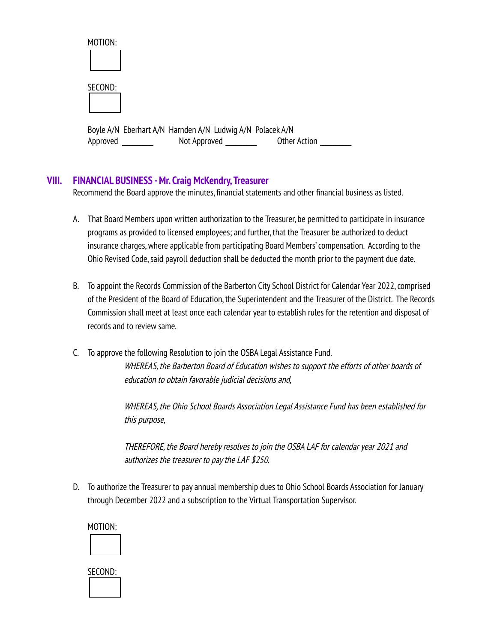| MOTION:  |                                                           |                     |
|----------|-----------------------------------------------------------|---------------------|
| SECOND:  |                                                           |                     |
|          | Boyle A/N Eberhart A/N Harnden A/N Ludwig A/N Polacek A/N |                     |
| Approved | Not Approved                                              | <b>Other Action</b> |

## **VIII. FINANCIAL BUSINESS -Mr. Craig McKendry,Treasurer**

Recommend the Board approve the minutes, financial statements and other financial business as listed.

- A. That Board Members upon written authorization to the Treasurer, be permitted to participate in insurance programs as provided to licensed employees; and further, that the Treasurer be authorized to deduct insurance charges,where applicable from participating Board Members'compensation. According to the Ohio Revised Code,said payroll deduction shall be deducted the month prior to the payment due date.
- B. To appoint the Records Commission of the Barberton City School District for Calendar Year 2022, comprised of the President of the Board of Education, the Superintendent and the Treasurer of the District. The Records Commission shall meet at least once each calendar year to establish rules for the retention and disposal of records and to review same.
- C. To approve the following Resolution to join the OSBA Legal Assistance Fund. WHEREAS, the Barberton Board of Education wishes to support the efforts of other boards of education to obtain favorable judicial decisions and,

WHEREAS, the Ohio School Boards Association Legal Assistance Fund has been established for this purpose,

THEREFORE, the Board hereby resolves to join the OSBA LAF for calendar year 2021 and authorizes the treasurer to paythe LAF \$250.

D. To authorize the Treasurer to pay annual membership dues to Ohio School Boards Association for January through December 2022 and a subscription to the Virtual Transportation Supervisor.

MOTION:

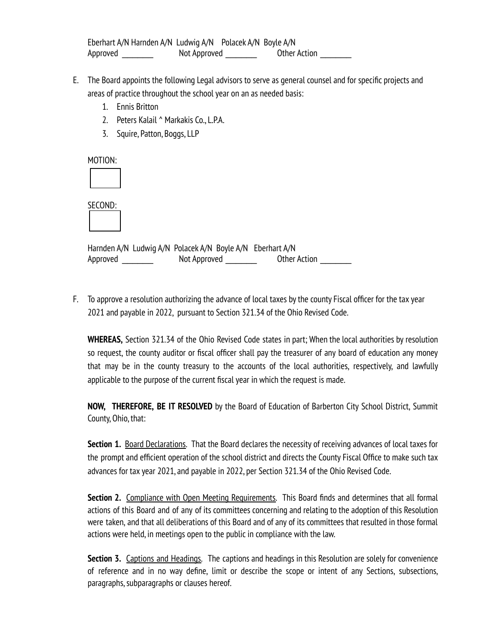Eberhart A/N Harnden A/N Ludwig A/N Polacek A/N Boyle A/N Approved \_\_\_\_\_\_\_\_\_\_\_\_\_\_\_ Not Approved \_\_\_\_\_\_\_\_\_\_\_\_\_\_\_ Other Action \_\_\_\_\_\_

- E. The Board appoints the following Legal advisors to serve as general counsel and for specific projects and areas of practice throughout the school year on an as needed basis:
	- 1. Ennis Britton
	- 2. Peters Kalail ^ Markakis Co., L.P.A.
	- 3. Squire, Patton, Boggs, LLP

MOTION:

SECOND:

Harnden A/N Ludwig A/N Polacek A/N Boyle A/N Eberhart A/N Approved \_\_\_\_\_\_ Not Approved \_\_\_\_\_\_ Other Action \_\_\_\_\_\_

F. To approve a resolution authorizing the advance of local taxes bythe county Fiscal officer for the tax year 2021 and payable in 2022, pursuant to Section 321.34 of the Ohio Revised Code.

**WHEREAS,** Section 321.34 of the Ohio Revised Code states in part; When the local authorities by resolution so request, the county auditor or fiscal officer shall pay the treasurer of any board of education any money that may be in the county treasury to the accounts of the local authorities, respectively, and lawfully applicable to the purpose of the current fiscal year in which the request is made.

**NOW, THEREFORE, BE IT RESOLVED** by the Board of Education of Barberton City School District, Summit County, Ohio, that:

**Section 1.** Board Declarations. That the Board declares the necessity of receiving advances of local taxes for the prompt and efficient operation of the school district and directs the County Fiscal Office to make such tax advances for tax year 2021, and payable in 2022, per Section 321.34 of the Ohio Revised Code.

**Section 2.** Compliance with Open Meeting Requirements. This Board finds and determines that all formal actions of this Board and of any of its committees concerning and relating to the adoption of this Resolution were taken, and that all deliberations of this Board and of any of its committees that resulted in those formal actions were held, in meetings open to the public in compliance with the law.

**Section 3.** Captions and Headings. The captions and headings in this Resolution are solely for convenience of reference and in no way define, limit or describe the scope or intent of any Sections, subsections, paragraphs,subparagraphs or clauses hereof.